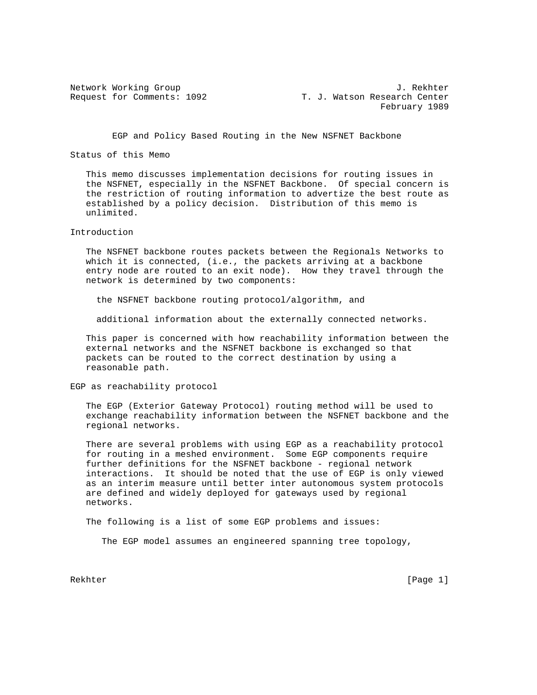Network Working Group J. Rekhter Request for Comments: 1092 T. J. Watson Research Center February 1989

EGP and Policy Based Routing in the New NSFNET Backbone

Status of this Memo

 This memo discusses implementation decisions for routing issues in the NSFNET, especially in the NSFNET Backbone. Of special concern is the restriction of routing information to advertize the best route as established by a policy decision. Distribution of this memo is unlimited.

Introduction

 The NSFNET backbone routes packets between the Regionals Networks to which it is connected, (i.e., the packets arriving at a backbone entry node are routed to an exit node). How they travel through the network is determined by two components:

the NSFNET backbone routing protocol/algorithm, and

additional information about the externally connected networks.

 This paper is concerned with how reachability information between the external networks and the NSFNET backbone is exchanged so that packets can be routed to the correct destination by using a reasonable path.

EGP as reachability protocol

 The EGP (Exterior Gateway Protocol) routing method will be used to exchange reachability information between the NSFNET backbone and the regional networks.

 There are several problems with using EGP as a reachability protocol for routing in a meshed environment. Some EGP components require further definitions for the NSFNET backbone - regional network interactions. It should be noted that the use of EGP is only viewed as an interim measure until better inter autonomous system protocols are defined and widely deployed for gateways used by regional networks.

The following is a list of some EGP problems and issues:

The EGP model assumes an engineered spanning tree topology,

Rekhter [Page 1] [Page 1] [Page 1] [Page 1] [Page 1] [Page 1] [Page 1] [Page 1] [Page 1] [Page 1] [Page 1] [Page 1] [Page 1] [Page 1] [Page 1] [Page 1] [Page 1] [Page 1] [Page 1] [Page 1] [Page 1] [Page 1] [Page 1] [Page 1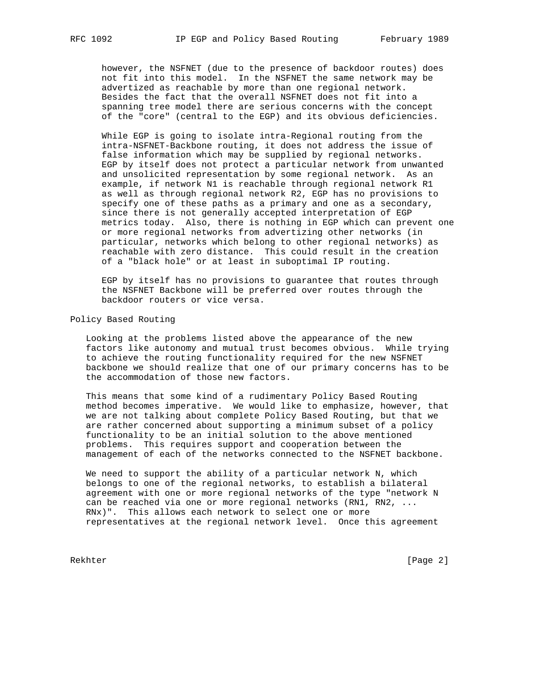however, the NSFNET (due to the presence of backdoor routes) does not fit into this model. In the NSFNET the same network may be advertized as reachable by more than one regional network. Besides the fact that the overall NSFNET does not fit into a spanning tree model there are serious concerns with the concept of the "core" (central to the EGP) and its obvious deficiencies.

 While EGP is going to isolate intra-Regional routing from the intra-NSFNET-Backbone routing, it does not address the issue of false information which may be supplied by regional networks. EGP by itself does not protect a particular network from unwanted and unsolicited representation by some regional network. As an example, if network N1 is reachable through regional network R1 as well as through regional network R2, EGP has no provisions to specify one of these paths as a primary and one as a secondary, since there is not generally accepted interpretation of EGP metrics today. Also, there is nothing in EGP which can prevent one or more regional networks from advertizing other networks (in particular, networks which belong to other regional networks) as reachable with zero distance. This could result in the creation of a "black hole" or at least in suboptimal IP routing.

 EGP by itself has no provisions to guarantee that routes through the NSFNET Backbone will be preferred over routes through the backdoor routers or vice versa.

Policy Based Routing

 Looking at the problems listed above the appearance of the new factors like autonomy and mutual trust becomes obvious. While trying to achieve the routing functionality required for the new NSFNET backbone we should realize that one of our primary concerns has to be the accommodation of those new factors.

 This means that some kind of a rudimentary Policy Based Routing method becomes imperative. We would like to emphasize, however, that we are not talking about complete Policy Based Routing, but that we are rather concerned about supporting a minimum subset of a policy functionality to be an initial solution to the above mentioned problems. This requires support and cooperation between the management of each of the networks connected to the NSFNET backbone.

 We need to support the ability of a particular network N, which belongs to one of the regional networks, to establish a bilateral agreement with one or more regional networks of the type "network N can be reached via one or more regional networks (RN1, RN2, ... RNx)". This allows each network to select one or more representatives at the regional network level. Once this agreement

Rekhter [Page 2]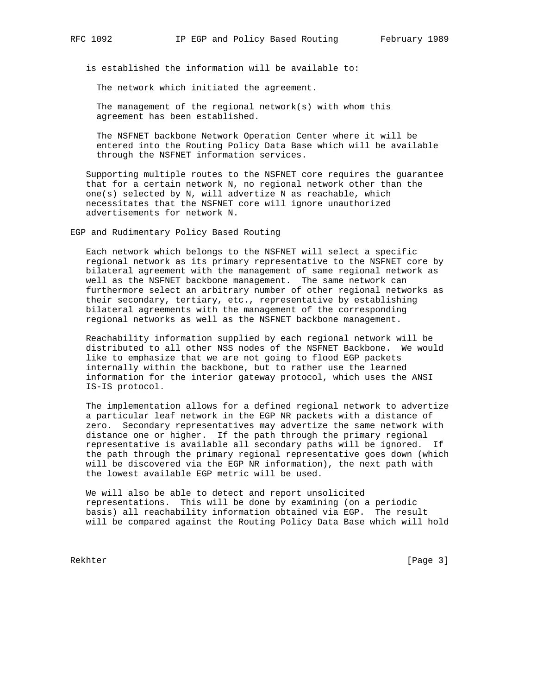is established the information will be available to:

The network which initiated the agreement.

 The management of the regional network(s) with whom this agreement has been established.

 The NSFNET backbone Network Operation Center where it will be entered into the Routing Policy Data Base which will be available through the NSFNET information services.

 Supporting multiple routes to the NSFNET core requires the guarantee that for a certain network N, no regional network other than the one(s) selected by N, will advertize N as reachable, which necessitates that the NSFNET core will ignore unauthorized advertisements for network N.

EGP and Rudimentary Policy Based Routing

 Each network which belongs to the NSFNET will select a specific regional network as its primary representative to the NSFNET core by bilateral agreement with the management of same regional network as well as the NSFNET backbone management. The same network can furthermore select an arbitrary number of other regional networks as their secondary, tertiary, etc., representative by establishing bilateral agreements with the management of the corresponding regional networks as well as the NSFNET backbone management.

 Reachability information supplied by each regional network will be distributed to all other NSS nodes of the NSFNET Backbone. We would like to emphasize that we are not going to flood EGP packets internally within the backbone, but to rather use the learned information for the interior gateway protocol, which uses the ANSI IS-IS protocol.

 The implementation allows for a defined regional network to advertize a particular leaf network in the EGP NR packets with a distance of zero. Secondary representatives may advertize the same network with distance one or higher. If the path through the primary regional representative is available all secondary paths will be ignored. If the path through the primary regional representative goes down (which will be discovered via the EGP NR information), the next path with the lowest available EGP metric will be used.

 We will also be able to detect and report unsolicited representations. This will be done by examining (on a periodic basis) all reachability information obtained via EGP. The result will be compared against the Routing Policy Data Base which will hold

Rekhter [Page 3]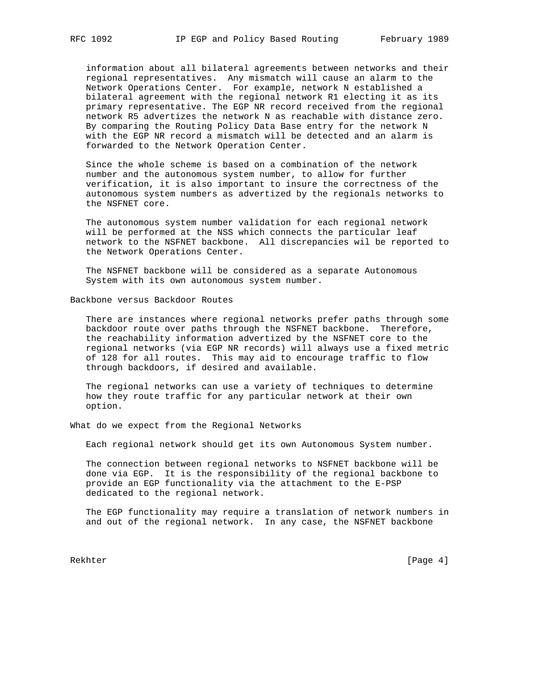information about all bilateral agreements between networks and their regional representatives. Any mismatch will cause an alarm to the Network Operations Center. For example, network N established a bilateral agreement with the regional network R1 electing it as its primary representative. The EGP NR record received from the regional network R5 advertizes the network N as reachable with distance zero. By comparing the Routing Policy Data Base entry for the network N with the EGP NR record a mismatch will be detected and an alarm is forwarded to the Network Operation Center.

 Since the whole scheme is based on a combination of the network number and the autonomous system number, to allow for further verification, it is also important to insure the correctness of the autonomous system numbers as advertized by the regionals networks to the NSFNET core.

 The autonomous system number validation for each regional network will be performed at the NSS which connects the particular leaf network to the NSFNET backbone. All discrepancies wil be reported to the Network Operations Center.

 The NSFNET backbone will be considered as a separate Autonomous System with its own autonomous system number.

Backbone versus Backdoor Routes

 There are instances where regional networks prefer paths through some backdoor route over paths through the NSFNET backbone. Therefore, the reachability information advertized by the NSFNET core to the regional networks (via EGP NR records) will always use a fixed metric of 128 for all routes. This may aid to encourage traffic to flow through backdoors, if desired and available.

 The regional networks can use a variety of techniques to determine how they route traffic for any particular network at their own option.

What do we expect from the Regional Networks

Each regional network should get its own Autonomous System number.

 The connection between regional networks to NSFNET backbone will be done via EGP. It is the responsibility of the regional backbone to provide an EGP functionality via the attachment to the E-PSP dedicated to the regional network.

 The EGP functionality may require a translation of network numbers in and out of the regional network. In any case, the NSFNET backbone

Rekhter [Page 4]